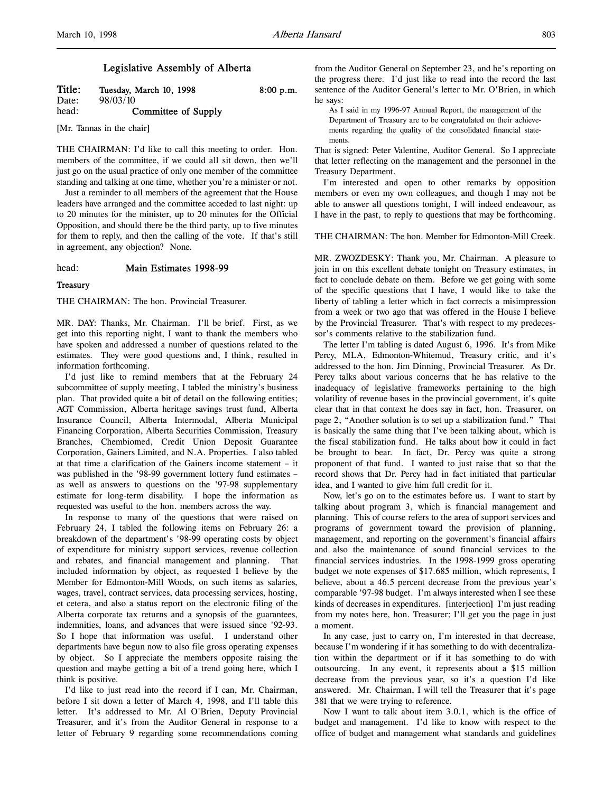# Legislative Assembly of Alberta

| Title: | Tuesday, March 10, 1998 | $8:00$ p.m. |
|--------|-------------------------|-------------|
| Date:  | 98/03/10                |             |
| head:  | Committee of Supply     |             |

[Mr. Tannas in the chair]

THE CHAIRMAN: I'd like to call this meeting to order. Hon. members of the committee, if we could all sit down, then we'll just go on the usual practice of only one member of the committee standing and talking at one time, whether you're a minister or not.

Just a reminder to all members of the agreement that the House leaders have arranged and the committee acceded to last night: up to 20 minutes for the minister, up to 20 minutes for the Official Opposition, and should there be the third party, up to five minutes for them to reply, and then the calling of the vote. If that's still in agreement, any objection? None.

#### head: Main Estimates 1998-99

## **Treasury**

THE CHAIRMAN: The hon. Provincial Treasurer.

MR. DAY: Thanks, Mr. Chairman. I'll be brief. First, as we get into this reporting night, I want to thank the members who have spoken and addressed a number of questions related to the estimates. They were good questions and, I think, resulted in information forthcoming.

I'd just like to remind members that at the February 24 subcommittee of supply meeting, I tabled the ministry's business plan. That provided quite a bit of detail on the following entities; AGT Commission, Alberta heritage savings trust fund, Alberta Insurance Council, Alberta Intermodal, Alberta Municipal Financing Corporation, Alberta Securities Commission, Treasury Branches, Chembiomed, Credit Union Deposit Guarantee Corporation, Gainers Limited, and N.A. Properties. I also tabled at that time a clarification of the Gainers income statement – it was published in the '98-99 government lottery fund estimates – as well as answers to questions on the '97-98 supplementary estimate for long-term disability. I hope the information as requested was useful to the hon. members across the way.

In response to many of the questions that were raised on February 24, I tabled the following items on February 26: a breakdown of the department's '98-99 operating costs by object of expenditure for ministry support services, revenue collection and rebates, and financial management and planning. That included information by object, as requested I believe by the Member for Edmonton-Mill Woods, on such items as salaries, wages, travel, contract services, data processing services, hosting, et cetera, and also a status report on the electronic filing of the Alberta corporate tax returns and a synopsis of the guarantees, indemnities, loans, and advances that were issued since '92-93. So I hope that information was useful. I understand other departments have begun now to also file gross operating expenses by object. So I appreciate the members opposite raising the question and maybe getting a bit of a trend going here, which I think is positive.

I'd like to just read into the record if I can, Mr. Chairman, before I sit down a letter of March 4, 1998, and I'll table this letter. It's addressed to Mr. Al O'Brien, Deputy Provincial Treasurer, and it's from the Auditor General in response to a letter of February 9 regarding some recommendations coming

from the Auditor General on September 23, and he's reporting on the progress there. I'd just like to read into the record the last sentence of the Auditor General's letter to Mr. O'Brien, in which he says:

As I said in my 1996-97 Annual Report, the management of the Department of Treasury are to be congratulated on their achievements regarding the quality of the consolidated financial statements.

That is signed: Peter Valentine, Auditor General. So I appreciate that letter reflecting on the management and the personnel in the Treasury Department.

I'm interested and open to other remarks by opposition members or even my own colleagues, and though I may not be able to answer all questions tonight, I will indeed endeavour, as I have in the past, to reply to questions that may be forthcoming.

#### THE CHAIRMAN: The hon. Member for Edmonton-Mill Creek.

MR. ZWOZDESKY: Thank you, Mr. Chairman. A pleasure to join in on this excellent debate tonight on Treasury estimates, in fact to conclude debate on them. Before we get going with some of the specific questions that I have, I would like to take the liberty of tabling a letter which in fact corrects a misimpression from a week or two ago that was offered in the House I believe by the Provincial Treasurer. That's with respect to my predecessor's comments relative to the stabilization fund.

The letter I'm tabling is dated August 6, 1996. It's from Mike Percy, MLA, Edmonton-Whitemud, Treasury critic, and it's addressed to the hon. Jim Dinning, Provincial Treasurer. As Dr. Percy talks about various concerns that he has relative to the inadequacy of legislative frameworks pertaining to the high volatility of revenue bases in the provincial government, it's quite clear that in that context he does say in fact, hon. Treasurer, on page 2, "Another solution is to set up a stabilization fund." That is basically the same thing that I've been talking about, which is the fiscal stabilization fund. He talks about how it could in fact be brought to bear. In fact, Dr. Percy was quite a strong proponent of that fund. I wanted to just raise that so that the record shows that Dr. Percy had in fact initiated that particular idea, and I wanted to give him full credit for it.

Now, let's go on to the estimates before us. I want to start by talking about program 3, which is financial management and planning. This of course refers to the area of support services and programs of government toward the provision of planning, management, and reporting on the government's financial affairs and also the maintenance of sound financial services to the financial services industries. In the 1998-1999 gross operating budget we note expenses of \$17.685 million, which represents, I believe, about a 46.5 percent decrease from the previous year's comparable '97-98 budget. I'm always interested when I see these kinds of decreases in expenditures. [interjection] I'm just reading from my notes here, hon. Treasurer; I'll get you the page in just a moment.

In any case, just to carry on, I'm interested in that decrease, because I'm wondering if it has something to do with decentralization within the department or if it has something to do with outsourcing. In any event, it represents about a \$15 million decrease from the previous year, so it's a question I'd like answered. Mr. Chairman, I will tell the Treasurer that it's page 381 that we were trying to reference.

Now I want to talk about item 3.0.1, which is the office of budget and management. I'd like to know with respect to the office of budget and management what standards and guidelines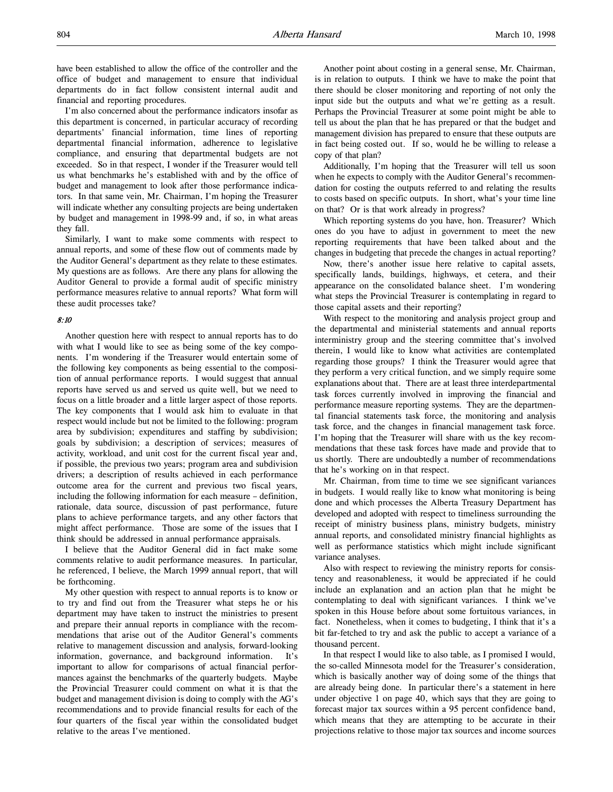have been established to allow the office of the controller and the office of budget and management to ensure that individual departments do in fact follow consistent internal audit and financial and reporting procedures.

I'm also concerned about the performance indicators insofar as this department is concerned, in particular accuracy of recording departments' financial information, time lines of reporting departmental financial information, adherence to legislative compliance, and ensuring that departmental budgets are not exceeded. So in that respect, I wonder if the Treasurer would tell us what benchmarks he's established with and by the office of budget and management to look after those performance indicators. In that same vein, Mr. Chairman, I'm hoping the Treasurer will indicate whether any consulting projects are being undertaken by budget and management in 1998-99 and, if so, in what areas they fall.

Similarly, I want to make some comments with respect to annual reports, and some of these flow out of comments made by the Auditor General's department as they relate to these estimates. My questions are as follows. Are there any plans for allowing the Auditor General to provide a formal audit of specific ministry performance measures relative to annual reports? What form will these audit processes take?

# 8:10

Another question here with respect to annual reports has to do with what I would like to see as being some of the key components. I'm wondering if the Treasurer would entertain some of the following key components as being essential to the composition of annual performance reports. I would suggest that annual reports have served us and served us quite well, but we need to focus on a little broader and a little larger aspect of those reports. The key components that I would ask him to evaluate in that respect would include but not be limited to the following: program area by subdivision; expenditures and staffing by subdivision; goals by subdivision; a description of services; measures of activity, workload, and unit cost for the current fiscal year and, if possible, the previous two years; program area and subdivision drivers; a description of results achieved in each performance outcome area for the current and previous two fiscal years, including the following information for each measure – definition, rationale, data source, discussion of past performance, future plans to achieve performance targets, and any other factors that might affect performance. Those are some of the issues that I think should be addressed in annual performance appraisals.

I believe that the Auditor General did in fact make some comments relative to audit performance measures. In particular, he referenced, I believe, the March 1999 annual report, that will be forthcoming.

My other question with respect to annual reports is to know or to try and find out from the Treasurer what steps he or his department may have taken to instruct the ministries to present and prepare their annual reports in compliance with the recommendations that arise out of the Auditor General's comments relative to management discussion and analysis, forward-looking information, governance, and background information. It's important to allow for comparisons of actual financial performances against the benchmarks of the quarterly budgets. Maybe the Provincial Treasurer could comment on what it is that the budget and management division is doing to comply with the AG's recommendations and to provide financial results for each of the four quarters of the fiscal year within the consolidated budget relative to the areas I've mentioned.

Another point about costing in a general sense, Mr. Chairman, is in relation to outputs. I think we have to make the point that there should be closer monitoring and reporting of not only the input side but the outputs and what we're getting as a result. Perhaps the Provincial Treasurer at some point might be able to tell us about the plan that he has prepared or that the budget and management division has prepared to ensure that these outputs are in fact being costed out. If so, would he be willing to release a copy of that plan?

Additionally, I'm hoping that the Treasurer will tell us soon when he expects to comply with the Auditor General's recommendation for costing the outputs referred to and relating the results to costs based on specific outputs. In short, what's your time line on that? Or is that work already in progress?

Which reporting systems do you have, hon. Treasurer? Which ones do you have to adjust in government to meet the new reporting requirements that have been talked about and the changes in budgeting that precede the changes in actual reporting?

Now, there's another issue here relative to capital assets, specifically lands, buildings, highways, et cetera, and their appearance on the consolidated balance sheet. I'm wondering what steps the Provincial Treasurer is contemplating in regard to those capital assets and their reporting?

With respect to the monitoring and analysis project group and the departmental and ministerial statements and annual reports interministry group and the steering committee that's involved therein, I would like to know what activities are contemplated regarding those groups? I think the Treasurer would agree that they perform a very critical function, and we simply require some explanations about that. There are at least three interdepartmental task forces currently involved in improving the financial and performance measure reporting systems. They are the departmental financial statements task force, the monitoring and analysis task force, and the changes in financial management task force. I'm hoping that the Treasurer will share with us the key recommendations that these task forces have made and provide that to us shortly. There are undoubtedly a number of recommendations that he's working on in that respect.

Mr. Chairman, from time to time we see significant variances in budgets. I would really like to know what monitoring is being done and which processes the Alberta Treasury Department has developed and adopted with respect to timeliness surrounding the receipt of ministry business plans, ministry budgets, ministry annual reports, and consolidated ministry financial highlights as well as performance statistics which might include significant variance analyses.

Also with respect to reviewing the ministry reports for consistency and reasonableness, it would be appreciated if he could include an explanation and an action plan that he might be contemplating to deal with significant variances. I think we've spoken in this House before about some fortuitous variances, in fact. Nonetheless, when it comes to budgeting, I think that it's a bit far-fetched to try and ask the public to accept a variance of a thousand percent.

In that respect I would like to also table, as I promised I would, the so-called Minnesota model for the Treasurer's consideration, which is basically another way of doing some of the things that are already being done. In particular there's a statement in here under objective 1 on page 40, which says that they are going to forecast major tax sources within a 95 percent confidence band, which means that they are attempting to be accurate in their projections relative to those major tax sources and income sources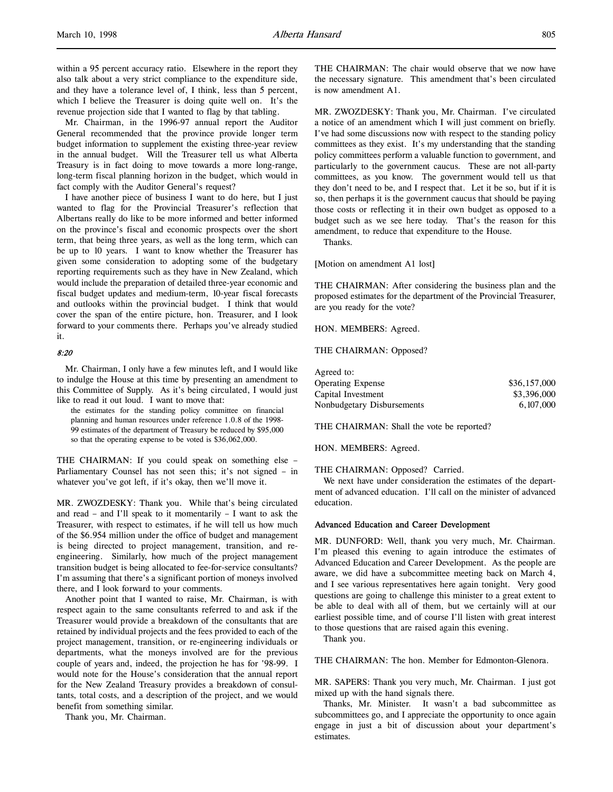within a 95 percent accuracy ratio. Elsewhere in the report they also talk about a very strict compliance to the expenditure side, and they have a tolerance level of, I think, less than 5 percent, which I believe the Treasurer is doing quite well on. It's the revenue projection side that I wanted to flag by that tabling.

Mr. Chairman, in the 1996-97 annual report the Auditor General recommended that the province provide longer term budget information to supplement the existing three-year review in the annual budget. Will the Treasurer tell us what Alberta Treasury is in fact doing to move towards a more long-range, long-term fiscal planning horizon in the budget, which would in fact comply with the Auditor General's request?

I have another piece of business I want to do here, but I just wanted to flag for the Provincial Treasurer's reflection that Albertans really do like to be more informed and better informed on the province's fiscal and economic prospects over the short term, that being three years, as well as the long term, which can be up to 10 years. I want to know whether the Treasurer has given some consideration to adopting some of the budgetary reporting requirements such as they have in New Zealand, which would include the preparation of detailed three-year economic and fiscal budget updates and medium-term, 10-year fiscal forecasts and outlooks within the provincial budget. I think that would cover the span of the entire picture, hon. Treasurer, and I look forward to your comments there. Perhaps you've already studied it.

## 8:20

Mr. Chairman, I only have a few minutes left, and I would like to indulge the House at this time by presenting an amendment to this Committee of Supply. As it's being circulated, I would just like to read it out loud. I want to move that:

the estimates for the standing policy committee on financial planning and human resources under reference 1.0.8 of the 1998- 99 estimates of the department of Treasury be reduced by \$95,000 so that the operating expense to be voted is \$36,062,000.

THE CHAIRMAN: If you could speak on something else – Parliamentary Counsel has not seen this; it's not signed – in whatever you've got left, if it's okay, then we'll move it.

MR. ZWOZDESKY: Thank you. While that's being circulated and read – and I'll speak to it momentarily – I want to ask the Treasurer, with respect to estimates, if he will tell us how much of the \$6.954 million under the office of budget and management is being directed to project management, transition, and reengineering. Similarly, how much of the project management transition budget is being allocated to fee-for-service consultants? I'm assuming that there's a significant portion of moneys involved there, and I look forward to your comments.

Another point that I wanted to raise, Mr. Chairman, is with respect again to the same consultants referred to and ask if the Treasurer would provide a breakdown of the consultants that are retained by individual projects and the fees provided to each of the project management, transition, or re-engineering individuals or departments, what the moneys involved are for the previous couple of years and, indeed, the projection he has for '98-99. I would note for the House's consideration that the annual report for the New Zealand Treasury provides a breakdown of consultants, total costs, and a description of the project, and we would benefit from something similar.

Thank you, Mr. Chairman.

THE CHAIRMAN: The chair would observe that we now have the necessary signature. This amendment that's been circulated is now amendment A1.

MR. ZWOZDESKY: Thank you, Mr. Chairman. I've circulated a notice of an amendment which I will just comment on briefly. I've had some discussions now with respect to the standing policy committees as they exist. It's my understanding that the standing policy committees perform a valuable function to government, and particularly to the government caucus. These are not all-party committees, as you know. The government would tell us that they don't need to be, and I respect that. Let it be so, but if it is so, then perhaps it is the government caucus that should be paying those costs or reflecting it in their own budget as opposed to a budget such as we see here today. That's the reason for this amendment, to reduce that expenditure to the House.

Thanks.

[Motion on amendment A1 lost]

THE CHAIRMAN: After considering the business plan and the proposed estimates for the department of the Provincial Treasurer, are you ready for the vote?

HON. MEMBERS: Agreed.

#### THE CHAIRMAN: Opposed?

| Agreed to:                 |              |
|----------------------------|--------------|
| <b>Operating Expense</b>   | \$36,157,000 |
| Capital Investment         | \$3,396,000  |
| Nonbudgetary Disbursements | 6.107.000    |

THE CHAIRMAN: Shall the vote be reported?

HON. MEMBERS: Agreed.

THE CHAIRMAN: Opposed? Carried.

We next have under consideration the estimates of the department of advanced education. I'll call on the minister of advanced education.

# Advanced Education and Career Development

MR. DUNFORD: Well, thank you very much, Mr. Chairman. I'm pleased this evening to again introduce the estimates of Advanced Education and Career Development. As the people are aware, we did have a subcommittee meeting back on March 4, and I see various representatives here again tonight. Very good questions are going to challenge this minister to a great extent to be able to deal with all of them, but we certainly will at our earliest possible time, and of course I'll listen with great interest to those questions that are raised again this evening.

Thank you.

THE CHAIRMAN: The hon. Member for Edmonton-Glenora.

MR. SAPERS: Thank you very much, Mr. Chairman. I just got mixed up with the hand signals there.

Thanks, Mr. Minister. It wasn't a bad subcommittee as subcommittees go, and I appreciate the opportunity to once again engage in just a bit of discussion about your department's estimates.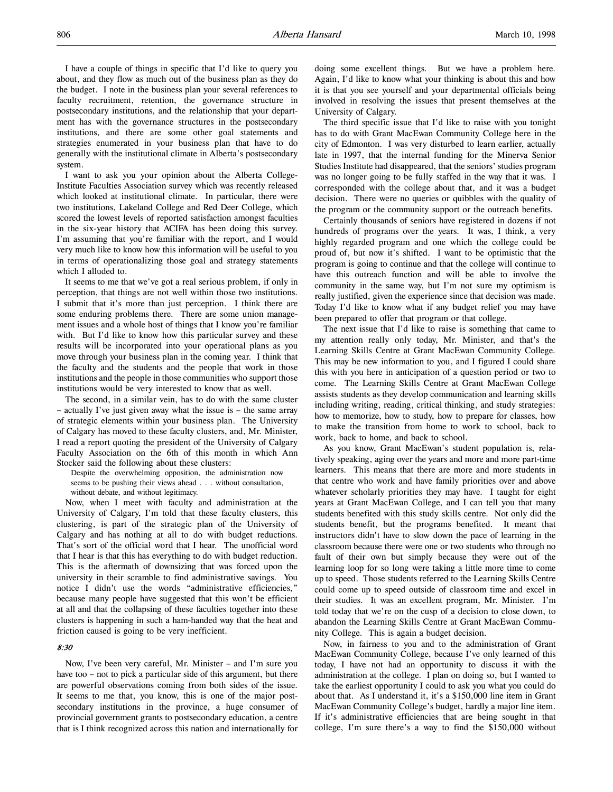I have a couple of things in specific that I'd like to query you about, and they flow as much out of the business plan as they do the budget. I note in the business plan your several references to faculty recruitment, retention, the governance structure in postsecondary institutions, and the relationship that your department has with the governance structures in the postsecondary institutions, and there are some other goal statements and strategies enumerated in your business plan that have to do generally with the institutional climate in Alberta's postsecondary system.

I want to ask you your opinion about the Alberta College-Institute Faculties Association survey which was recently released which looked at institutional climate. In particular, there were two institutions, Lakeland College and Red Deer College, which scored the lowest levels of reported satisfaction amongst faculties in the six-year history that ACIFA has been doing this survey. I'm assuming that you're familiar with the report, and I would very much like to know how this information will be useful to you in terms of operationalizing those goal and strategy statements which I alluded to.

It seems to me that we've got a real serious problem, if only in perception, that things are not well within those two institutions. I submit that it's more than just perception. I think there are some enduring problems there. There are some union management issues and a whole host of things that I know you're familiar with. But I'd like to know how this particular survey and these results will be incorporated into your operational plans as you move through your business plan in the coming year. I think that the faculty and the students and the people that work in those institutions and the people in those communities who support those institutions would be very interested to know that as well.

The second, in a similar vein, has to do with the same cluster – actually I've just given away what the issue is – the same array of strategic elements within your business plan. The University of Calgary has moved to these faculty clusters, and, Mr. Minister, I read a report quoting the president of the University of Calgary Faculty Association on the 6th of this month in which Ann Stocker said the following about these clusters:

Despite the overwhelming opposition, the administration now seems to be pushing their views ahead . . . without consultation, without debate, and without legitimacy.

Now, when I meet with faculty and administration at the University of Calgary, I'm told that these faculty clusters, this clustering, is part of the strategic plan of the University of Calgary and has nothing at all to do with budget reductions. That's sort of the official word that I hear. The unofficial word that I hear is that this has everything to do with budget reduction. This is the aftermath of downsizing that was forced upon the university in their scramble to find administrative savings. You notice I didn't use the words "administrative efficiencies," because many people have suggested that this won't be efficient at all and that the collapsing of these faculties together into these clusters is happening in such a ham-handed way that the heat and friction caused is going to be very inefficient.

# 8:30

Now, I've been very careful, Mr. Minister – and I'm sure you have too – not to pick a particular side of this argument, but there are powerful observations coming from both sides of the issue. It seems to me that, you know, this is one of the major postsecondary institutions in the province, a huge consumer of provincial government grants to postsecondary education, a centre that is I think recognized across this nation and internationally for

doing some excellent things. But we have a problem here. Again, I'd like to know what your thinking is about this and how it is that you see yourself and your departmental officials being involved in resolving the issues that present themselves at the University of Calgary.

The third specific issue that I'd like to raise with you tonight has to do with Grant MacEwan Community College here in the city of Edmonton. I was very disturbed to learn earlier, actually late in 1997, that the internal funding for the Minerva Senior Studies Institute had disappeared, that the seniors' studies program was no longer going to be fully staffed in the way that it was. I corresponded with the college about that, and it was a budget decision. There were no queries or quibbles with the quality of the program or the community support or the outreach benefits.

Certainly thousands of seniors have registered in dozens if not hundreds of programs over the years. It was, I think, a very highly regarded program and one which the college could be proud of, but now it's shifted. I want to be optimistic that the program is going to continue and that the college will continue to have this outreach function and will be able to involve the community in the same way, but I'm not sure my optimism is really justified, given the experience since that decision was made. Today I'd like to know what if any budget relief you may have been prepared to offer that program or that college.

The next issue that I'd like to raise is something that came to my attention really only today, Mr. Minister, and that's the Learning Skills Centre at Grant MacEwan Community College. This may be new information to you, and I figured I could share this with you here in anticipation of a question period or two to come. The Learning Skills Centre at Grant MacEwan College assists students as they develop communication and learning skills including writing, reading, critical thinking, and study strategies: how to memorize, how to study, how to prepare for classes, how to make the transition from home to work to school, back to work, back to home, and back to school.

As you know, Grant MacEwan's student population is, relatively speaking, aging over the years and more and more part-time learners. This means that there are more and more students in that centre who work and have family priorities over and above whatever scholarly priorities they may have. I taught for eight years at Grant MacEwan College, and I can tell you that many students benefited with this study skills centre. Not only did the students benefit, but the programs benefited. It meant that instructors didn't have to slow down the pace of learning in the classroom because there were one or two students who through no fault of their own but simply because they were out of the learning loop for so long were taking a little more time to come up to speed. Those students referred to the Learning Skills Centre could come up to speed outside of classroom time and excel in their studies. It was an excellent program, Mr. Minister. I'm told today that we're on the cusp of a decision to close down, to abandon the Learning Skills Centre at Grant MacEwan Community College. This is again a budget decision.

Now, in fairness to you and to the administration of Grant MacEwan Community College, because I've only learned of this today, I have not had an opportunity to discuss it with the administration at the college. I plan on doing so, but I wanted to take the earliest opportunity I could to ask you what you could do about that. As I understand it, it's a \$150,000 line item in Grant MacEwan Community College's budget, hardly a major line item. If it's administrative efficiencies that are being sought in that college, I'm sure there's a way to find the \$150,000 without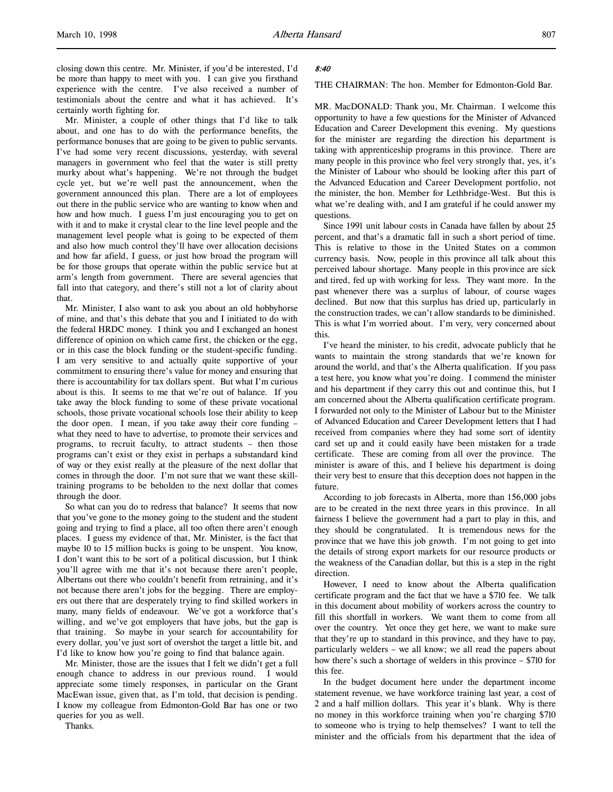Mr. Minister, a couple of other things that I'd like to talk about, and one has to do with the performance benefits, the performance bonuses that are going to be given to public servants. I've had some very recent discussions, yesterday, with several managers in government who feel that the water is still pretty murky about what's happening. We're not through the budget cycle yet, but we're well past the announcement, when the government announced this plan. There are a lot of employees out there in the public service who are wanting to know when and how and how much. I guess I'm just encouraging you to get on with it and to make it crystal clear to the line level people and the management level people what is going to be expected of them and also how much control they'll have over allocation decisions and how far afield, I guess, or just how broad the program will be for those groups that operate within the public service but at arm's length from government. There are several agencies that fall into that category, and there's still not a lot of clarity about that.

Mr. Minister, I also want to ask you about an old hobbyhorse of mine, and that's this debate that you and I initiated to do with the federal HRDC money. I think you and I exchanged an honest difference of opinion on which came first, the chicken or the egg, or in this case the block funding or the student-specific funding. I am very sensitive to and actually quite supportive of your commitment to ensuring there's value for money and ensuring that there is accountability for tax dollars spent. But what I'm curious about is this. It seems to me that we're out of balance. If you take away the block funding to some of these private vocational schools, those private vocational schools lose their ability to keep the door open. I mean, if you take away their core funding – what they need to have to advertise, to promote their services and programs, to recruit faculty, to attract students – then those programs can't exist or they exist in perhaps a substandard kind of way or they exist really at the pleasure of the next dollar that comes in through the door. I'm not sure that we want these skilltraining programs to be beholden to the next dollar that comes through the door.

So what can you do to redress that balance? It seems that now that you've gone to the money going to the student and the student going and trying to find a place, all too often there aren't enough places. I guess my evidence of that, Mr. Minister, is the fact that maybe 10 to 15 million bucks is going to be unspent. You know, I don't want this to be sort of a political discussion, but I think you'll agree with me that it's not because there aren't people, Albertans out there who couldn't benefit from retraining, and it's not because there aren't jobs for the begging. There are employers out there that are desperately trying to find skilled workers in many, many fields of endeavour. We've got a workforce that's willing, and we've got employers that have jobs, but the gap is that training. So maybe in your search for accountability for every dollar, you've just sort of overshot the target a little bit, and I'd like to know how you're going to find that balance again.

Mr. Minister, those are the issues that I felt we didn't get a full enough chance to address in our previous round. I would appreciate some timely responses, in particular on the Grant MacEwan issue, given that, as I'm told, that decision is pending. I know my colleague from Edmonton-Gold Bar has one or two queries for you as well.

Thanks.

## 8:40

## THE CHAIRMAN: The hon. Member for Edmonton-Gold Bar.

MR. MacDONALD: Thank you, Mr. Chairman. I welcome this opportunity to have a few questions for the Minister of Advanced Education and Career Development this evening. My questions for the minister are regarding the direction his department is taking with apprenticeship programs in this province. There are many people in this province who feel very strongly that, yes, it's the Minister of Labour who should be looking after this part of the Advanced Education and Career Development portfolio, not the minister, the hon. Member for Lethbridge-West. But this is what we're dealing with, and I am grateful if he could answer my questions.

Since 1991 unit labour costs in Canada have fallen by about 25 percent, and that's a dramatic fall in such a short period of time. This is relative to those in the United States on a common currency basis. Now, people in this province all talk about this perceived labour shortage. Many people in this province are sick and tired, fed up with working for less. They want more. In the past whenever there was a surplus of labour, of course wages declined. But now that this surplus has dried up, particularly in the construction trades, we can't allow standards to be diminished. This is what I'm worried about. I'm very, very concerned about this.

I've heard the minister, to his credit, advocate publicly that he wants to maintain the strong standards that we're known for around the world, and that's the Alberta qualification. If you pass a test here, you know what you're doing. I commend the minister and his department if they carry this out and continue this, but I am concerned about the Alberta qualification certificate program. I forwarded not only to the Minister of Labour but to the Minister of Advanced Education and Career Development letters that I had received from companies where they had some sort of identity card set up and it could easily have been mistaken for a trade certificate. These are coming from all over the province. The minister is aware of this, and I believe his department is doing their very best to ensure that this deception does not happen in the future.

According to job forecasts in Alberta, more than 156,000 jobs are to be created in the next three years in this province. In all fairness I believe the government had a part to play in this, and they should be congratulated. It is tremendous news for the province that we have this job growth. I'm not going to get into the details of strong export markets for our resource products or the weakness of the Canadian dollar, but this is a step in the right direction.

However, I need to know about the Alberta qualification certificate program and the fact that we have a \$710 fee. We talk in this document about mobility of workers across the country to fill this shortfall in workers. We want them to come from all over the country. Yet once they get here, we want to make sure that they're up to standard in this province, and they have to pay, particularly welders – we all know; we all read the papers about how there's such a shortage of welders in this province – \$710 for this fee.

In the budget document here under the department income statement revenue, we have workforce training last year, a cost of 2 and a half million dollars. This year it's blank. Why is there no money in this workforce training when you're charging \$710 to someone who is trying to help themselves? I want to tell the minister and the officials from his department that the idea of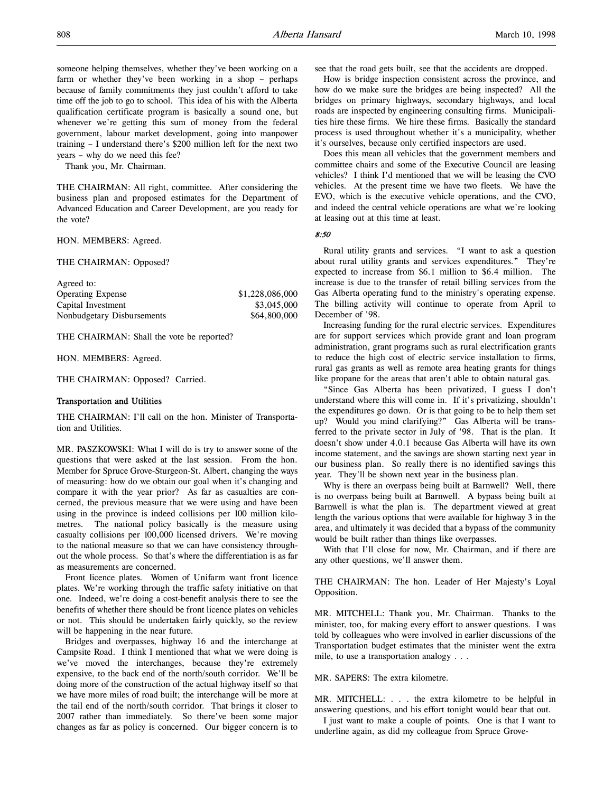someone helping themselves, whether they've been working on a farm or whether they've been working in a shop – perhaps because of family commitments they just couldn't afford to take time off the job to go to school. This idea of his with the Alberta qualification certificate program is basically a sound one, but whenever we're getting this sum of money from the federal government, labour market development, going into manpower training – I understand there's \$200 million left for the next two years – why do we need this fee?

Thank you, Mr. Chairman.

THE CHAIRMAN: All right, committee. After considering the business plan and proposed estimates for the Department of Advanced Education and Career Development, are you ready for the vote?

HON. MEMBERS: Agreed.

THE CHAIRMAN: Opposed?

| Agreed to:                 |                 |
|----------------------------|-----------------|
| <b>Operating Expense</b>   | \$1,228,086,000 |
| Capital Investment         | \$3,045,000     |
| Nonbudgetary Disbursements | \$64,800,000    |

THE CHAIRMAN: Shall the vote be reported?

HON. MEMBERS: Agreed.

THE CHAIRMAN: Opposed? Carried.

# Transportation and Utilities

THE CHAIRMAN: I'll call on the hon. Minister of Transportation and Utilities.

MR. PASZKOWSKI: What I will do is try to answer some of the questions that were asked at the last session. From the hon. Member for Spruce Grove-Sturgeon-St. Albert, changing the ways of measuring: how do we obtain our goal when it's changing and compare it with the year prior? As far as casualties are concerned, the previous measure that we were using and have been using in the province is indeed collisions per 100 million kilometres. The national policy basically is the measure using casualty collisions per 100,000 licensed drivers. We're moving to the national measure so that we can have consistency throughout the whole process. So that's where the differentiation is as far as measurements are concerned.

Front licence plates. Women of Unifarm want front licence plates. We're working through the traffic safety initiative on that one. Indeed, we're doing a cost-benefit analysis there to see the benefits of whether there should be front licence plates on vehicles or not. This should be undertaken fairly quickly, so the review will be happening in the near future.

Bridges and overpasses, highway 16 and the interchange at Campsite Road. I think I mentioned that what we were doing is we've moved the interchanges, because they're extremely expensive, to the back end of the north/south corridor. We'll be doing more of the construction of the actual highway itself so that we have more miles of road built; the interchange will be more at the tail end of the north/south corridor. That brings it closer to 2007 rather than immediately. So there've been some major changes as far as policy is concerned. Our bigger concern is to

see that the road gets built, see that the accidents are dropped.

How is bridge inspection consistent across the province, and how do we make sure the bridges are being inspected? All the bridges on primary highways, secondary highways, and local roads are inspected by engineering consulting firms. Municipalities hire these firms. We hire these firms. Basically the standard process is used throughout whether it's a municipality, whether it's ourselves, because only certified inspectors are used.

Does this mean all vehicles that the government members and committee chairs and some of the Executive Council are leasing vehicles? I think I'd mentioned that we will be leasing the CVO vehicles. At the present time we have two fleets. We have the EVO, which is the executive vehicle operations, and the CVO, and indeed the central vehicle operations are what we're looking at leasing out at this time at least.

8:50

Rural utility grants and services. "I want to ask a question about rural utility grants and services expenditures." They're expected to increase from \$6.1 million to \$6.4 million. The increase is due to the transfer of retail billing services from the Gas Alberta operating fund to the ministry's operating expense. The billing activity will continue to operate from April to December of '98.

Increasing funding for the rural electric services. Expenditures are for support services which provide grant and loan program administration, grant programs such as rural electrification grants to reduce the high cost of electric service installation to firms, rural gas grants as well as remote area heating grants for things like propane for the areas that aren't able to obtain natural gas.

"Since Gas Alberta has been privatized, I guess I don't understand where this will come in. If it's privatizing, shouldn't the expenditures go down. Or is that going to be to help them set up? Would you mind clarifying?" Gas Alberta will be transferred to the private sector in July of '98. That is the plan. It doesn't show under 4.0.1 because Gas Alberta will have its own income statement, and the savings are shown starting next year in our business plan. So really there is no identified savings this year. They'll be shown next year in the business plan.

Why is there an overpass being built at Barnwell? Well, there is no overpass being built at Barnwell. A bypass being built at Barnwell is what the plan is. The department viewed at great length the various options that were available for highway 3 in the area, and ultimately it was decided that a bypass of the community would be built rather than things like overpasses.

With that I'll close for now, Mr. Chairman, and if there are any other questions, we'll answer them.

THE CHAIRMAN: The hon. Leader of Her Majesty's Loyal Opposition.

MR. MITCHELL: Thank you, Mr. Chairman. Thanks to the minister, too, for making every effort to answer questions. I was told by colleagues who were involved in earlier discussions of the Transportation budget estimates that the minister went the extra mile, to use a transportation analogy . . .

MR. SAPERS: The extra kilometre.

MR. MITCHELL: . . . the extra kilometre to be helpful in answering questions, and his effort tonight would bear that out.

I just want to make a couple of points. One is that I want to underline again, as did my colleague from Spruce Grove